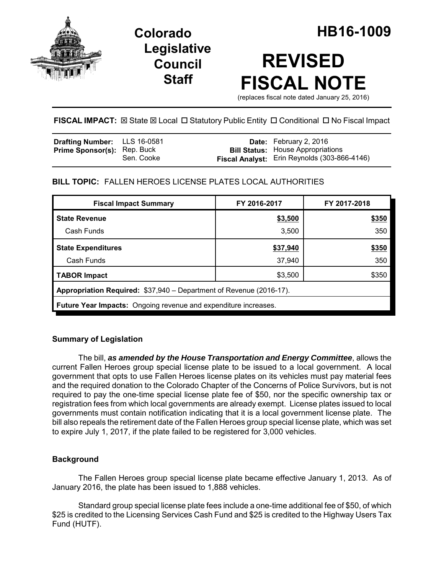

## **Legislative Council Staff**

# **REVISED FISCAL NOTE**

(replaces fiscal note dated January 25, 2016)

## **FISCAL IMPACT:** ⊠ State ⊠ Local □ Statutory Public Entity □ Conditional □ No Fiscal Impact

| <b>Drafting Number:</b> LLS 16-0581 |            | <b>Date:</b> February 2, 2016                       |
|-------------------------------------|------------|-----------------------------------------------------|
| <b>Prime Sponsor(s): Rep. Buck</b>  | Sen. Cooke | <b>Bill Status:</b> House Appropriations            |
|                                     |            | <b>Fiscal Analyst:</b> Erin Reynolds (303-866-4146) |

## **BILL TOPIC:** FALLEN HEROES LICENSE PLATES LOCAL AUTHORITIES

| <b>Fiscal Impact Summary</b>                                        | FY 2016-2017 | FY 2017-2018 |  |  |  |  |
|---------------------------------------------------------------------|--------------|--------------|--|--|--|--|
| <b>State Revenue</b>                                                | \$3,500      | \$350        |  |  |  |  |
| Cash Funds                                                          | 3,500        | 350          |  |  |  |  |
| <b>State Expenditures</b>                                           | \$37,940     | \$350        |  |  |  |  |
| Cash Funds                                                          | 37,940       | 350          |  |  |  |  |
| <b>TABOR Impact</b>                                                 | \$3,500      | \$350        |  |  |  |  |
| Appropriation Required: \$37,940 – Department of Revenue (2016-17). |              |              |  |  |  |  |
| Future Year Impacts: Ongoing revenue and expenditure increases.     |              |              |  |  |  |  |

### **Summary of Legislation**

The bill, *as amended by the House Transportation and Energy Committee*, allows the current Fallen Heroes group special license plate to be issued to a local government. A local government that opts to use Fallen Heroes license plates on its vehicles must pay material fees and the required donation to the Colorado Chapter of the Concerns of Police Survivors, but is not required to pay the one-time special license plate fee of \$50, nor the specific ownership tax or registration fees from which local governments are already exempt. License plates issued to local governments must contain notification indicating that it is a local government license plate. The bill also repeals the retirement date of the Fallen Heroes group special license plate, which was set to expire July 1, 2017, if the plate failed to be registered for 3,000 vehicles.

#### **Background**

The Fallen Heroes group special license plate became effective January 1, 2013. As of January 2016, the plate has been issued to 1,888 vehicles.

Standard group special license plate fees include a one-time additional fee of \$50, of which \$25 is credited to the Licensing Services Cash Fund and \$25 is credited to the Highway Users Tax Fund (HUTF).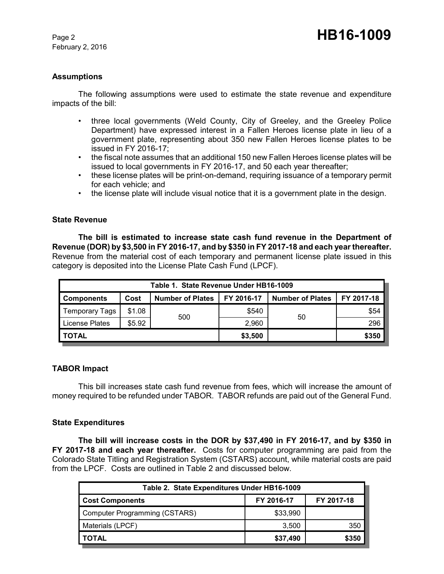February 2, 2016

#### **Assumptions**

The following assumptions were used to estimate the state revenue and expenditure impacts of the bill:

- three local governments (Weld County, City of Greeley, and the Greeley Police Department) have expressed interest in a Fallen Heroes license plate in lieu of a government plate, representing about 350 new Fallen Heroes license plates to be issued in FY 2016-17;
- the fiscal note assumes that an additional 150 new Fallen Heroes license plates will be issued to local governments in FY 2016-17, and 50 each year thereafter;
- these license plates will be print-on-demand, requiring issuance of a temporary permit for each vehicle; and
- the license plate will include visual notice that it is a government plate in the design.

#### **State Revenue**

**The bill is estimated to increase state cash fund revenue in the Department of Revenue (DOR) by \$3,500 in FY 2016-17, and by \$350 in FY 2017-18 and each year thereafter.**  Revenue from the material cost of each temporary and permanent license plate issued in this category is deposited into the License Plate Cash Fund (LPCF).

| Table 1. State Revenue Under HB16-1009 |        |                         |            |                         |            |  |  |  |
|----------------------------------------|--------|-------------------------|------------|-------------------------|------------|--|--|--|
| <b>Components</b>                      | Cost   | <b>Number of Plates</b> | FY 2016-17 | <b>Number of Plates</b> | FY 2017-18 |  |  |  |
| <b>Temporary Tags</b>                  | \$1.08 |                         | \$540      | 50                      | \$54       |  |  |  |
| License Plates                         | \$5.92 | 500                     | 2,960      |                         | 296        |  |  |  |
| <b>TOTAL</b>                           |        | \$3,500                 |            | \$350                   |            |  |  |  |

#### **TABOR Impact**

This bill increases state cash fund revenue from fees, which will increase the amount of money required to be refunded under TABOR. TABOR refunds are paid out of the General Fund.

#### **State Expenditures**

**The bill will increase costs in the DOR by \$37,490 in FY 2016-17, and by \$350 in FY 2017-18 and each year thereafter.** Costs for computer programming are paid from the Colorado State Titling and Registration System (CSTARS) account, while material costs are paid from the LPCF. Costs are outlined in Table 2 and discussed below.

| Table 2. State Expenditures Under HB16-1009 |            |            |  |  |  |  |
|---------------------------------------------|------------|------------|--|--|--|--|
| <b>Cost Components</b>                      | FY 2016-17 | FY 2017-18 |  |  |  |  |
| Computer Programming (CSTARS)               | \$33,990   |            |  |  |  |  |
| Materials (LPCF)                            | 3.500      | 350        |  |  |  |  |
| <b>TOTAL</b>                                | \$37,490   | \$350      |  |  |  |  |